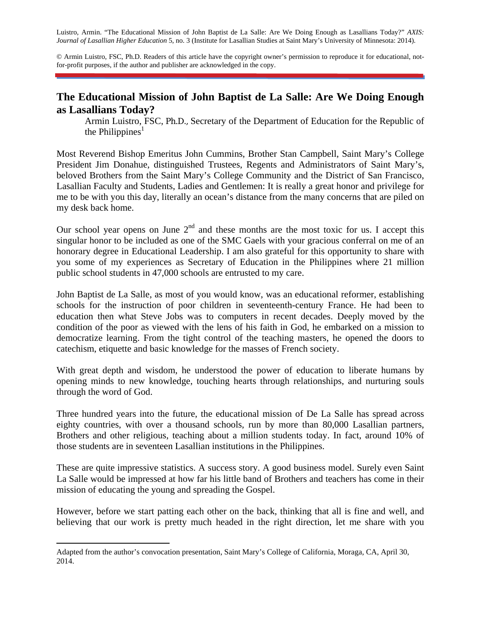Luistro, Armin. "The Educational Mission of John Baptist de La Salle: Are We Doing Enough as Lasallians Today?" *AXIS: Journal of Lasallian Higher Education* 5, no. 3 (Institute for Lasallian Studies at Saint Mary's University of Minnesota: 2014).

© Armin Luistro, FSC, Ph.D. Readers of this article have the copyright owner's permission to reproduce it for educational, notfor-profit purposes, if the author and publisher are acknowledged in the copy.

## **The Educational Mission of John Baptist de La Salle: Are We Doing Enough as Lasallians Today?**

Armin Luistro, FSC, Ph.D., Secretary of the Department of Education for the Republic of the Philippines<sup>1</sup>

Most Reverend Bishop Emeritus John Cummins, Brother Stan Campbell, Saint Mary's College President Jim Donahue, distinguished Trustees, Regents and Administrators of Saint Mary's, beloved Brothers from the Saint Mary's College Community and the District of San Francisco, Lasallian Faculty and Students, Ladies and Gentlemen: It is really a great honor and privilege for me to be with you this day, literally an ocean's distance from the many concerns that are piled on my desk back home.

Our school year opens on June  $2<sup>nd</sup>$  and these months are the most toxic for us. I accept this singular honor to be included as one of the SMC Gaels with your gracious conferral on me of an honorary degree in Educational Leadership. I am also grateful for this opportunity to share with you some of my experiences as Secretary of Education in the Philippines where 21 million public school students in 47,000 schools are entrusted to my care.

John Baptist de La Salle, as most of you would know, was an educational reformer, establishing schools for the instruction of poor children in seventeenth-century France. He had been to education then what Steve Jobs was to computers in recent decades. Deeply moved by the condition of the poor as viewed with the lens of his faith in God, he embarked on a mission to democratize learning. From the tight control of the teaching masters, he opened the doors to catechism, etiquette and basic knowledge for the masses of French society.

With great depth and wisdom, he understood the power of education to liberate humans by opening minds to new knowledge, touching hearts through relationships, and nurturing souls through the word of God.

Three hundred years into the future, the educational mission of De La Salle has spread across eighty countries, with over a thousand schools, run by more than 80,000 Lasallian partners, Brothers and other religious, teaching about a million students today. In fact, around 10% of those students are in seventeen Lasallian institutions in the Philippines.

These are quite impressive statistics. A success story. A good business model. Surely even Saint La Salle would be impressed at how far his little band of Brothers and teachers has come in their mission of educating the young and spreading the Gospel.

However, before we start patting each other on the back, thinking that all is fine and well, and believing that our work is pretty much headed in the right direction, let me share with you

Adapted from the author's convocation presentation, Saint Mary's College of California, Moraga, CA, April 30, 2014.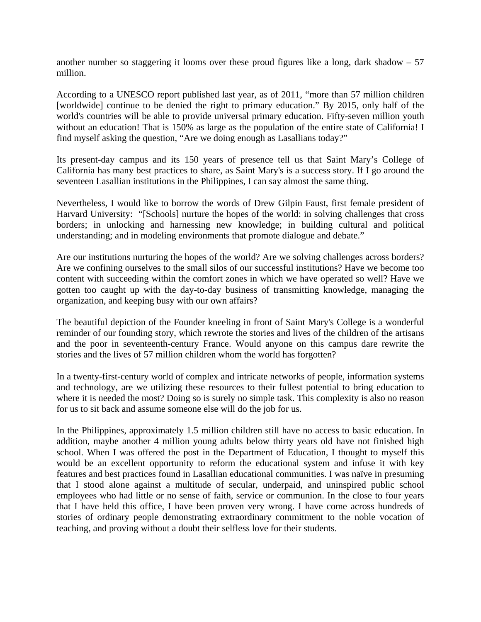another number so staggering it looms over these proud figures like a long, dark shadow – 57 million.

According to a UNESCO report published last year, as of 2011, "more than 57 million children [worldwide] continue to be denied the right to primary education." By 2015, only half of the world's countries will be able to provide universal primary education. Fifty-seven million youth without an education! That is 150% as large as the population of the entire state of California! I find myself asking the question, "Are we doing enough as Lasallians today?"

Its present-day campus and its 150 years of presence tell us that Saint Mary's College of California has many best practices to share, as Saint Mary's is a success story. If I go around the seventeen Lasallian institutions in the Philippines, I can say almost the same thing.

Nevertheless, I would like to borrow the words of Drew Gilpin Faust, first female president of Harvard University: "[Schools] nurture the hopes of the world: in solving challenges that cross borders; in unlocking and harnessing new knowledge; in building cultural and political understanding; and in modeling environments that promote dialogue and debate."

Are our institutions nurturing the hopes of the world? Are we solving challenges across borders? Are we confining ourselves to the small silos of our successful institutions? Have we become too content with succeeding within the comfort zones in which we have operated so well? Have we gotten too caught up with the day-to-day business of transmitting knowledge, managing the organization, and keeping busy with our own affairs?

The beautiful depiction of the Founder kneeling in front of Saint Mary's College is a wonderful reminder of our founding story, which rewrote the stories and lives of the children of the artisans and the poor in seventeenth-century France. Would anyone on this campus dare rewrite the stories and the lives of 57 million children whom the world has forgotten?

In a twenty-first-century world of complex and intricate networks of people, information systems and technology, are we utilizing these resources to their fullest potential to bring education to where it is needed the most? Doing so is surely no simple task. This complexity is also no reason for us to sit back and assume someone else will do the job for us.

In the Philippines, approximately 1.5 million children still have no access to basic education. In addition, maybe another 4 million young adults below thirty years old have not finished high school. When I was offered the post in the Department of Education, I thought to myself this would be an excellent opportunity to reform the educational system and infuse it with key features and best practices found in Lasallian educational communities. I was naïve in presuming that I stood alone against a multitude of secular, underpaid, and uninspired public school employees who had little or no sense of faith, service or communion. In the close to four years that I have held this office, I have been proven very wrong. I have come across hundreds of stories of ordinary people demonstrating extraordinary commitment to the noble vocation of teaching, and proving without a doubt their selfless love for their students.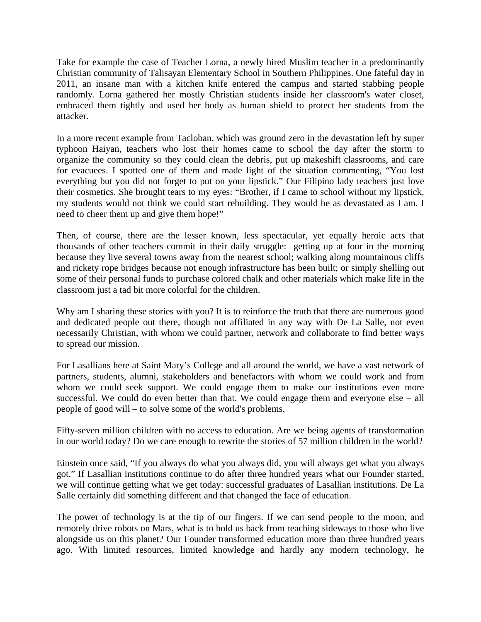Take for example the case of Teacher Lorna, a newly hired Muslim teacher in a predominantly Christian community of Talisayan Elementary School in Southern Philippines. One fateful day in 2011, an insane man with a kitchen knife entered the campus and started stabbing people randomly. Lorna gathered her mostly Christian students inside her classroom's water closet, embraced them tightly and used her body as human shield to protect her students from the attacker.

In a more recent example from Tacloban, which was ground zero in the devastation left by super typhoon Haiyan, teachers who lost their homes came to school the day after the storm to organize the community so they could clean the debris, put up makeshift classrooms, and care for evacuees. I spotted one of them and made light of the situation commenting, "You lost everything but you did not forget to put on your lipstick." Our Filipino lady teachers just love their cosmetics. She brought tears to my eyes: "Brother, if I came to school without my lipstick, my students would not think we could start rebuilding. They would be as devastated as I am. I need to cheer them up and give them hope!"

Then, of course, there are the lesser known, less spectacular, yet equally heroic acts that thousands of other teachers commit in their daily struggle: getting up at four in the morning because they live several towns away from the nearest school; walking along mountainous cliffs and rickety rope bridges because not enough infrastructure has been built; or simply shelling out some of their personal funds to purchase colored chalk and other materials which make life in the classroom just a tad bit more colorful for the children.

Why am I sharing these stories with you? It is to reinforce the truth that there are numerous good and dedicated people out there, though not affiliated in any way with De La Salle, not even necessarily Christian, with whom we could partner, network and collaborate to find better ways to spread our mission.

For Lasallians here at Saint Mary's College and all around the world, we have a vast network of partners, students, alumni, stakeholders and benefactors with whom we could work and from whom we could seek support. We could engage them to make our institutions even more successful. We could do even better than that. We could engage them and everyone else – all people of good will – to solve some of the world's problems.

Fifty-seven million children with no access to education. Are we being agents of transformation in our world today? Do we care enough to rewrite the stories of 57 million children in the world?

Einstein once said, "If you always do what you always did, you will always get what you always got." If Lasallian institutions continue to do after three hundred years what our Founder started, we will continue getting what we get today: successful graduates of Lasallian institutions. De La Salle certainly did something different and that changed the face of education.

The power of technology is at the tip of our fingers. If we can send people to the moon, and remotely drive robots on Mars, what is to hold us back from reaching sideways to those who live alongside us on this planet? Our Founder transformed education more than three hundred years ago. With limited resources, limited knowledge and hardly any modern technology, he